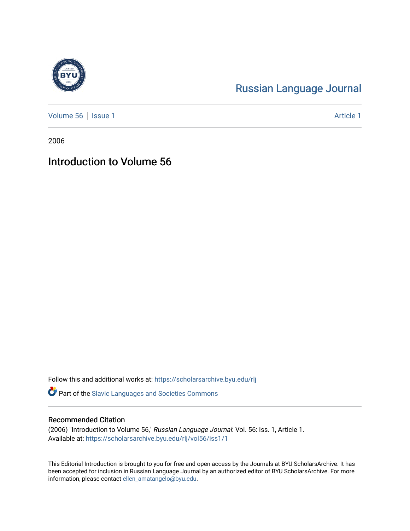## [Russian Language Journal](https://scholarsarchive.byu.edu/rlj)

[Volume 56](https://scholarsarchive.byu.edu/rlj/vol56) | [Issue 1](https://scholarsarchive.byu.edu/rlj/vol56/iss1) Article 1

2006

## Introduction to Volume 56

Follow this and additional works at: [https://scholarsarchive.byu.edu/rlj](https://scholarsarchive.byu.edu/rlj?utm_source=scholarsarchive.byu.edu%2Frlj%2Fvol56%2Fiss1%2F1&utm_medium=PDF&utm_campaign=PDFCoverPages)

Part of the [Slavic Languages and Societies Commons](http://network.bepress.com/hgg/discipline/486?utm_source=scholarsarchive.byu.edu%2Frlj%2Fvol56%2Fiss1%2F1&utm_medium=PDF&utm_campaign=PDFCoverPages) 

## Recommended Citation

(2006) "Introduction to Volume 56," Russian Language Journal: Vol. 56: Iss. 1, Article 1. Available at: [https://scholarsarchive.byu.edu/rlj/vol56/iss1/1](https://scholarsarchive.byu.edu/rlj/vol56/iss1/1?utm_source=scholarsarchive.byu.edu%2Frlj%2Fvol56%2Fiss1%2F1&utm_medium=PDF&utm_campaign=PDFCoverPages) 

This Editorial Introduction is brought to you for free and open access by the Journals at BYU ScholarsArchive. It has been accepted for inclusion in Russian Language Journal by an authorized editor of BYU ScholarsArchive. For more information, please contact [ellen\\_amatangelo@byu.edu.](mailto:ellen_amatangelo@byu.edu)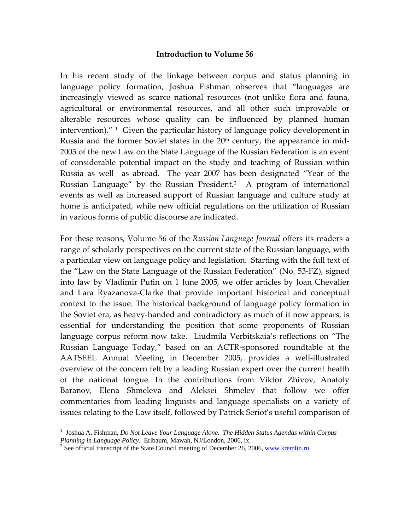## **Introduction to Volume 56**

In his recent study of the linkage between corpus and status planning in language policy formation, Joshua Fishman observes that "languages are increasingly viewed as scarce national resources (not unlike flora and fauna, agricultural or environmental resources, and all other such improvable or alterable resources whose quality can be influenced by planned human intervention)."  $\frac{1}{1}$  $\frac{1}{1}$  $\frac{1}{1}$  Given the particular history of language policy development in Russia and the former Soviet states in the  $20<sup>th</sup>$  century, the appearance in mid-2005 of the new Law on the State Language of the Russian Federation is an event of considerable potential impact on the study and teaching of Russian within Russia as well as abroad. The year 2007 has been designated "Year of the Russian Language" by the Russian President.<sup>[2](#page-1-1)</sup> A program of international events as well as increased support of Russian language and culture study at home is anticipated, while new official regulations on the utilization of Russian in various forms of public discourse are indicated.

For these reasons, Volume 56 of the *Russian Language Journal* offers its readers a range of scholarly perspectives on the current state of the Russian language, with a particular view on language policy and legislation. Starting with the full text of the "Law on the State Language of the Russian Federation" (No. 53‐FZ), signed into law by Vladimir Putin on 1 June 2005, we offer articles by Joan Chevalier and Lara Ryazanova‐Clarke that provide important historical and conceptual context to the issue. The historical background of language policy formation in the Soviet era, as heavy‐handed and contradictory as much of it now appears, is essential for understanding the position that some proponents of Russian language corpus reform now take. Liudmila Verbitskaia's reflections on "The Russian Language Today," based on an ACTR‐sponsored roundtable at the AATSEEL Annual Meeting in December 2005, provides a well‐illustrated overview of the concern felt by a leading Russian expert over the current health of the national tongue. In the contributions from Viktor Zhivov, Anatoly Baranov, Elena Shmeleva and Aleksei Shmelev that follow we offer commentaries from leading linguists and language specialists on a variety of issues relating to the Law itself, followed by Patrick Seriot's useful comparison of

 $\overline{a}$ 

<span id="page-1-0"></span><sup>&</sup>lt;sup>1</sup> Joshua A. Fishman, *Do Not Leave Your Language Alone. The Hidden Status Agendas within Corpus Planning in Language Policy.* Erlbaum, Mawah, NJ/London, 2006, ix. 2

<span id="page-1-1"></span><sup>&</sup>lt;sup>2</sup> See official transcript of the State Council meeting of December 26, 2006, [www.kremlin.ru](http://www.kremlin.ru/)